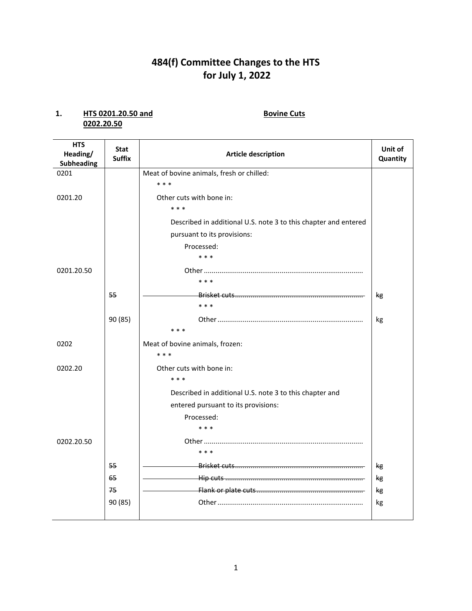# **484(f) Committee Changes to the HTS for July 1, 2022**

### **1. HTS 0201.20.50 and Bovine Cuts 0202.20.50**

| <b>HTS</b><br>Heading/<br><b>Subheading</b> | <b>Stat</b><br><b>Suffix</b> | <b>Article description</b>                                      | Unit of<br>Quantity |
|---------------------------------------------|------------------------------|-----------------------------------------------------------------|---------------------|
| 0201                                        |                              | Meat of bovine animals, fresh or chilled:                       |                     |
|                                             |                              | * * *                                                           |                     |
| 0201.20                                     |                              | Other cuts with bone in:                                        |                     |
|                                             |                              | $***$                                                           |                     |
|                                             |                              | Described in additional U.S. note 3 to this chapter and entered |                     |
|                                             |                              | pursuant to its provisions:                                     |                     |
|                                             |                              | Processed:                                                      |                     |
|                                             |                              | * * *                                                           |                     |
| 0201.20.50                                  |                              |                                                                 |                     |
|                                             |                              | * * *                                                           |                     |
|                                             | 55                           |                                                                 | kg                  |
|                                             |                              | $***$                                                           |                     |
|                                             | 90 (85)                      |                                                                 | kg                  |
|                                             |                              | * * *                                                           |                     |
| 0202                                        |                              | Meat of bovine animals, frozen:                                 |                     |
|                                             |                              | * * *                                                           |                     |
| 0202.20                                     |                              | Other cuts with bone in:                                        |                     |
|                                             |                              | $***$                                                           |                     |
|                                             |                              | Described in additional U.S. note 3 to this chapter and         |                     |
|                                             |                              | entered pursuant to its provisions:                             |                     |
|                                             |                              | Processed:                                                      |                     |
|                                             |                              | * * *                                                           |                     |
| 0202.20.50                                  |                              |                                                                 |                     |
|                                             |                              | * * *                                                           |                     |
|                                             | 55                           |                                                                 | kg                  |
|                                             | 65                           |                                                                 | kg                  |
|                                             | 75                           |                                                                 | kg                  |
|                                             | 90 (85)                      |                                                                 | kg                  |
|                                             |                              |                                                                 |                     |

1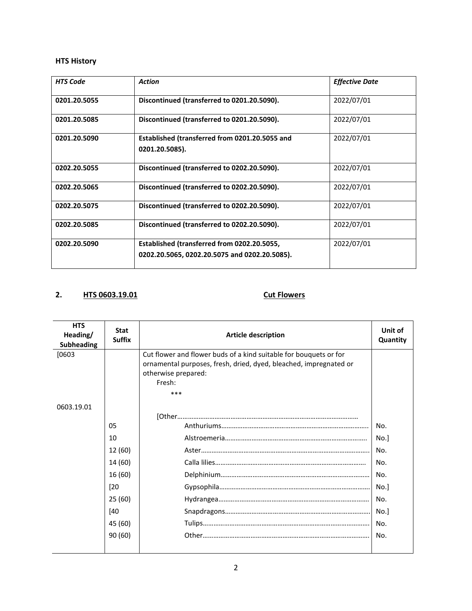| <b>HTS Code</b> | <b>Action</b>                                                                                | <b>Effective Date</b> |
|-----------------|----------------------------------------------------------------------------------------------|-----------------------|
| 0201.20.5055    | Discontinued (transferred to 0201.20.5090).                                                  | 2022/07/01            |
| 0201.20.5085    | Discontinued (transferred to 0201.20.5090).                                                  | 2022/07/01            |
| 0201.20.5090    | Established (transferred from 0201.20.5055 and<br>0201.20.5085).                             | 2022/07/01            |
| 0202.20.5055    | Discontinued (transferred to 0202.20.5090).                                                  | 2022/07/01            |
| 0202.20.5065    | Discontinued (transferred to 0202.20.5090).                                                  | 2022/07/01            |
| 0202.20.5075    | Discontinued (transferred to 0202.20.5090).                                                  | 2022/07/01            |
| 0202.20.5085    | Discontinued (transferred to 0202.20.5090).                                                  | 2022/07/01            |
| 0202.20.5090    | Established (transferred from 0202.20.5055,<br>0202.20.5065, 0202.20.5075 and 0202.20.5085). | 2022/07/01            |

# **2. HTS 0603.19.01 Cut Flowers**

| <b>HTS</b><br>Heading/<br><b>Subheading</b> | <b>Stat</b><br><b>Suffix</b> | <b>Article description</b>                                                                                                             | Unit of<br>Quantity |
|---------------------------------------------|------------------------------|----------------------------------------------------------------------------------------------------------------------------------------|---------------------|
| [0603]                                      |                              | Cut flower and flower buds of a kind suitable for bouquets or for<br>ornamental purposes, fresh, dried, dyed, bleached, impregnated or |                     |
|                                             |                              | otherwise prepared:                                                                                                                    |                     |
|                                             |                              | Fresh:                                                                                                                                 |                     |
|                                             |                              | ***                                                                                                                                    |                     |
| 0603.19.01                                  |                              |                                                                                                                                        |                     |
|                                             |                              |                                                                                                                                        |                     |
|                                             | 05                           |                                                                                                                                        | No.                 |
|                                             | 10                           |                                                                                                                                        | No.]                |
|                                             | 12 (60)                      |                                                                                                                                        | No.                 |
|                                             | 14 (60)                      |                                                                                                                                        | No.                 |
|                                             | 16 (60)                      |                                                                                                                                        | No.                 |
|                                             | $[20$                        |                                                                                                                                        | No.]                |
|                                             | 25(60)                       |                                                                                                                                        | No.                 |
|                                             | [40                          |                                                                                                                                        | No.]                |
|                                             | 45 (60)                      |                                                                                                                                        | No.                 |
|                                             | 90(60)                       |                                                                                                                                        | No.                 |
|                                             |                              |                                                                                                                                        |                     |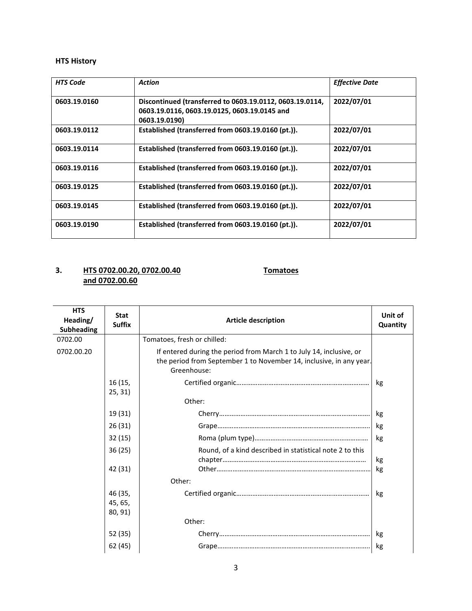| <b>HTS Code</b> | <b>Action</b>                                                                                                             | <b>Effective Date</b> |
|-----------------|---------------------------------------------------------------------------------------------------------------------------|-----------------------|
| 0603.19.0160    | Discontinued (transferred to 0603.19.0112, 0603.19.0114,<br>0603.19.0116, 0603.19.0125, 0603.19.0145 and<br>0603.19.0190) | 2022/07/01            |
| 0603.19.0112    | Established (transferred from 0603.19.0160 (pt.)).                                                                        | 2022/07/01            |
| 0603.19.0114    | Established (transferred from 0603.19.0160 (pt.)).                                                                        | 2022/07/01            |
| 0603.19.0116    | Established (transferred from 0603.19.0160 (pt.)).                                                                        | 2022/07/01            |
| 0603.19.0125    | Established (transferred from 0603.19.0160 (pt.)).                                                                        | 2022/07/01            |
| 0603.19.0145    | Established (transferred from 0603.19.0160 (pt.)).                                                                        | 2022/07/01            |
| 0603.19.0190    | Established (transferred from 0603.19.0160 (pt.)).                                                                        | 2022/07/01            |

## **3. HTS 0702.00.20, 0702.00.40 Tomatoes and 0702.00.60**

| <b>HTS</b><br>Heading/<br><b>Subheading</b> | <b>Stat</b><br><b>Suffix</b>  | <b>Article description</b>                                                                                                                                | Unit of<br>Quantity |
|---------------------------------------------|-------------------------------|-----------------------------------------------------------------------------------------------------------------------------------------------------------|---------------------|
| 0702.00                                     |                               | Tomatoes, fresh or chilled:                                                                                                                               |                     |
| 0702.00.20                                  |                               | If entered during the period from March 1 to July 14, inclusive, or<br>the period from September 1 to November 14, inclusive, in any year.<br>Greenhouse: |                     |
|                                             | 16 (15,<br>25, 31)            |                                                                                                                                                           | kg                  |
|                                             |                               | Other:                                                                                                                                                    |                     |
|                                             | 19 (31)                       |                                                                                                                                                           | kg                  |
|                                             | 26(31)                        |                                                                                                                                                           | kg                  |
|                                             | 32(15)                        |                                                                                                                                                           | kg                  |
|                                             | 36(25)                        | Round, of a kind described in statistical note 2 to this                                                                                                  | kg                  |
|                                             | 42 (31)                       |                                                                                                                                                           | kg                  |
|                                             |                               | Other:                                                                                                                                                    |                     |
|                                             | 46 (35,<br>45, 65,<br>80, 91) |                                                                                                                                                           | kg                  |
|                                             |                               | Other:                                                                                                                                                    |                     |
|                                             | 52 (35)                       |                                                                                                                                                           | kg                  |
|                                             | 62 (45)                       |                                                                                                                                                           | kg                  |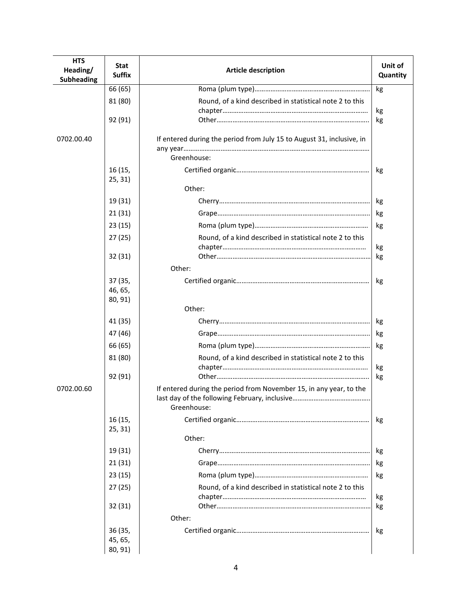| <b>HTS</b><br>Heading/<br><b>Subheading</b> | <b>Stat</b><br><b>Suffix</b>  | <b>Article description</b>                                                        | Unit of<br>Quantity |
|---------------------------------------------|-------------------------------|-----------------------------------------------------------------------------------|---------------------|
|                                             | 66 (65)                       |                                                                                   | kg                  |
|                                             | 81 (80)                       | Round, of a kind described in statistical note 2 to this                          |                     |
|                                             |                               |                                                                                   | kg                  |
|                                             | 92 (91)                       |                                                                                   | kg                  |
| 0702.00.40                                  |                               | If entered during the period from July 15 to August 31, inclusive, in             |                     |
|                                             |                               | Greenhouse:                                                                       |                     |
|                                             | 16 (15,<br>25, 31)            |                                                                                   | kg                  |
|                                             |                               | Other:                                                                            |                     |
|                                             | 19 (31)                       |                                                                                   | kg                  |
|                                             | 21(31)                        |                                                                                   | kg                  |
|                                             | 23 (15)                       |                                                                                   | kg                  |
|                                             | 27(25)                        | Round, of a kind described in statistical note 2 to this                          | kg                  |
|                                             | 32(31)                        |                                                                                   | kg                  |
|                                             |                               | Other:                                                                            |                     |
|                                             | 37 (35,<br>46, 65,<br>80, 91) |                                                                                   | kg                  |
|                                             |                               | Other:                                                                            |                     |
|                                             | 41 (35)                       |                                                                                   | kg                  |
|                                             | 47 (46)                       |                                                                                   | kg                  |
|                                             | 66 (65)                       |                                                                                   | kg                  |
|                                             | 81 (80)                       | Round, of a kind described in statistical note 2 to this                          |                     |
|                                             | 92 (91)                       |                                                                                   | kg<br>kg            |
| 0702.00.60                                  |                               | If entered during the period from November 15, in any year, to the<br>Greenhouse: |                     |
|                                             | 16 (15,<br>25, 31)            |                                                                                   | kg                  |
|                                             |                               | Other:                                                                            |                     |
|                                             | 19 (31)                       |                                                                                   | kg                  |
|                                             | 21(31)                        |                                                                                   | kg                  |
|                                             | 23(15)                        |                                                                                   | kg                  |
|                                             | 27(25)                        | Round, of a kind described in statistical note 2 to this                          |                     |
|                                             | 32(31)                        |                                                                                   | kg<br>kg            |
|                                             |                               | Other:                                                                            |                     |
|                                             | 36 (35,<br>45, 65,            |                                                                                   | kg                  |
|                                             | 80, 91)                       |                                                                                   |                     |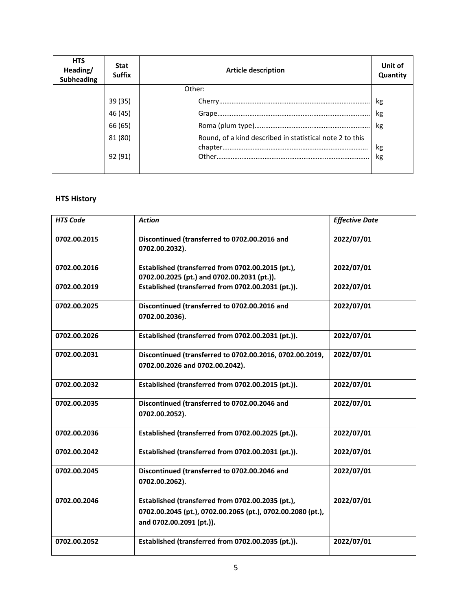| <b>HTS</b><br>Heading/<br><b>Subheading</b> | <b>Stat</b><br><b>Suffix</b> | <b>Article description</b>                               | Unit of<br>Quantity |
|---------------------------------------------|------------------------------|----------------------------------------------------------|---------------------|
|                                             |                              | Other:                                                   |                     |
|                                             | 39 (35)                      |                                                          | kg                  |
|                                             | 46 (45)                      |                                                          | kg                  |
|                                             | 66 (65)                      |                                                          | kg                  |
|                                             | 81 (80)                      | Round, of a kind described in statistical note 2 to this | kg                  |
|                                             | 92 (91)                      |                                                          | kg                  |

| <b>HTS Code</b> | <b>Action</b>                                                                                                                                | <b>Effective Date</b> |
|-----------------|----------------------------------------------------------------------------------------------------------------------------------------------|-----------------------|
| 0702.00.2015    | Discontinued (transferred to 0702.00.2016 and<br>0702.00.2032).                                                                              | 2022/07/01            |
| 0702.00.2016    | Established (transferred from 0702.00.2015 (pt.),<br>0702.00.2025 (pt.) and 0702.00.2031 (pt.)).                                             | 2022/07/01            |
| 0702.00.2019    | Established (transferred from 0702.00.2031 (pt.)).                                                                                           | 2022/07/01            |
| 0702.00.2025    | Discontinued (transferred to 0702.00.2016 and<br>0702.00.2036).                                                                              | 2022/07/01            |
| 0702.00.2026    | Established (transferred from 0702.00.2031 (pt.)).                                                                                           | 2022/07/01            |
| 0702.00.2031    | Discontinued (transferred to 0702.00.2016, 0702.00.2019,<br>0702.00.2026 and 0702.00.2042).                                                  | 2022/07/01            |
| 0702.00.2032    | Established (transferred from 0702.00.2015 (pt.)).                                                                                           | 2022/07/01            |
| 0702.00.2035    | Discontinued (transferred to 0702.00.2046 and<br>0702.00.2052).                                                                              | 2022/07/01            |
| 0702.00.2036    | Established (transferred from 0702.00.2025 (pt.)).                                                                                           | 2022/07/01            |
| 0702.00.2042    | Established (transferred from 0702.00.2031 (pt.)).                                                                                           | 2022/07/01            |
| 0702.00.2045    | Discontinued (transferred to 0702.00.2046 and<br>0702.00.2062).                                                                              | 2022/07/01            |
| 0702.00.2046    | Established (transferred from 0702.00.2035 (pt.),<br>0702.00.2045 (pt.), 0702.00.2065 (pt.), 0702.00.2080 (pt.),<br>and 0702.00.2091 (pt.)). | 2022/07/01            |
| 0702.00.2052    | Established (transferred from 0702.00.2035 (pt.)).                                                                                           | 2022/07/01            |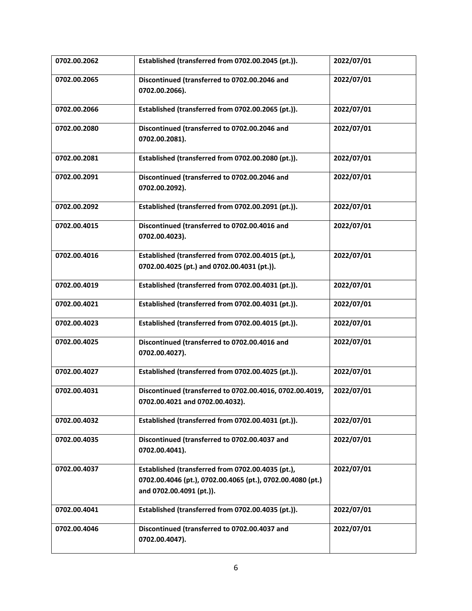| 0702.00.2062 | Established (transferred from 0702.00.2045 (pt.)).                                                                                          | 2022/07/01 |
|--------------|---------------------------------------------------------------------------------------------------------------------------------------------|------------|
| 0702.00.2065 | Discontinued (transferred to 0702.00.2046 and<br>0702.00.2066).                                                                             | 2022/07/01 |
| 0702.00.2066 | Established (transferred from 0702.00.2065 (pt.)).                                                                                          | 2022/07/01 |
| 0702.00.2080 | Discontinued (transferred to 0702.00.2046 and<br>0702.00.2081).                                                                             | 2022/07/01 |
| 0702.00.2081 | Established (transferred from 0702.00.2080 (pt.)).                                                                                          | 2022/07/01 |
| 0702.00.2091 | Discontinued (transferred to 0702.00.2046 and<br>0702.00.2092).                                                                             | 2022/07/01 |
| 0702.00.2092 | Established (transferred from 0702.00.2091 (pt.)).                                                                                          | 2022/07/01 |
| 0702.00.4015 | Discontinued (transferred to 0702.00.4016 and<br>0702.00.4023).                                                                             | 2022/07/01 |
| 0702.00.4016 | Established (transferred from 0702.00.4015 (pt.),<br>0702.00.4025 (pt.) and 0702.00.4031 (pt.)).                                            | 2022/07/01 |
| 0702.00.4019 | Established (transferred from 0702.00.4031 (pt.)).                                                                                          | 2022/07/01 |
| 0702.00.4021 | Established (transferred from 0702.00.4031 (pt.)).                                                                                          | 2022/07/01 |
| 0702.00.4023 | Established (transferred from 0702.00.4015 (pt.)).                                                                                          | 2022/07/01 |
| 0702.00.4025 | Discontinued (transferred to 0702.00.4016 and<br>0702.00.4027).                                                                             | 2022/07/01 |
| 0702.00.4027 | Established (transferred from 0702.00.4025 (pt.)).                                                                                          | 2022/07/01 |
| 0702.00.4031 | Discontinued (transferred to 0702.00.4016, 0702.00.4019,<br>0702.00.4021 and 0702.00.4032).                                                 | 2022/07/01 |
| 0702.00.4032 | Established (transferred from 0702.00.4031 (pt.)).                                                                                          | 2022/07/01 |
| 0702.00.4035 | Discontinued (transferred to 0702.00.4037 and<br>0702.00.4041).                                                                             | 2022/07/01 |
| 0702.00.4037 | Established (transferred from 0702.00.4035 (pt.),<br>0702.00.4046 (pt.), 0702.00.4065 (pt.), 0702.00.4080 (pt.)<br>and 0702.00.4091 (pt.)). | 2022/07/01 |
| 0702.00.4041 | Established (transferred from 0702.00.4035 (pt.)).                                                                                          | 2022/07/01 |
| 0702.00.4046 | Discontinued (transferred to 0702.00.4037 and<br>0702.00.4047).                                                                             | 2022/07/01 |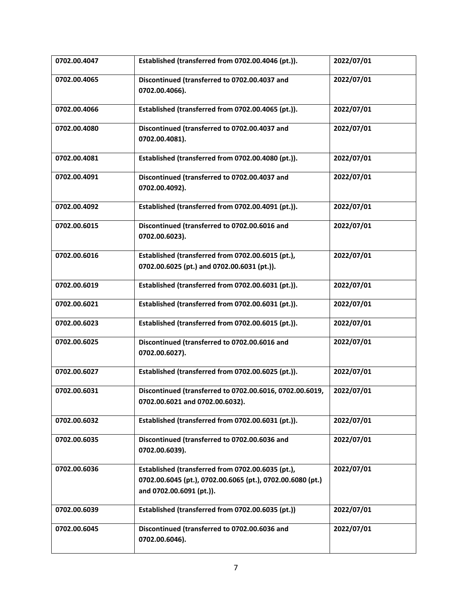| 0702.00.4047 | Established (transferred from 0702.00.4046 (pt.)).                                                                                          | 2022/07/01 |
|--------------|---------------------------------------------------------------------------------------------------------------------------------------------|------------|
| 0702.00.4065 | Discontinued (transferred to 0702.00.4037 and<br>0702.00.4066).                                                                             | 2022/07/01 |
| 0702.00.4066 | Established (transferred from 0702.00.4065 (pt.)).                                                                                          | 2022/07/01 |
| 0702.00.4080 | Discontinued (transferred to 0702.00.4037 and<br>0702.00.4081).                                                                             | 2022/07/01 |
| 0702.00.4081 | Established (transferred from 0702.00.4080 (pt.)).                                                                                          | 2022/07/01 |
| 0702.00.4091 | Discontinued (transferred to 0702.00.4037 and<br>0702.00.4092).                                                                             | 2022/07/01 |
| 0702.00.4092 | Established (transferred from 0702.00.4091 (pt.)).                                                                                          | 2022/07/01 |
| 0702.00.6015 | Discontinued (transferred to 0702.00.6016 and<br>0702.00.6023).                                                                             | 2022/07/01 |
| 0702.00.6016 | Established (transferred from 0702.00.6015 (pt.),<br>0702.00.6025 (pt.) and 0702.00.6031 (pt.)).                                            | 2022/07/01 |
| 0702.00.6019 | Established (transferred from 0702.00.6031 (pt.)).                                                                                          | 2022/07/01 |
| 0702.00.6021 | Established (transferred from 0702.00.6031 (pt.)).                                                                                          | 2022/07/01 |
| 0702.00.6023 | Established (transferred from 0702.00.6015 (pt.)).                                                                                          | 2022/07/01 |
| 0702.00.6025 | Discontinued (transferred to 0702.00.6016 and<br>0702.00.6027).                                                                             | 2022/07/01 |
| 0702.00.6027 | Established (transferred from 0702.00.6025 (pt.)).                                                                                          | 2022/07/01 |
| 0702.00.6031 | Discontinued (transferred to 0702.00.6016, 0702.00.6019,<br>0702.00.6021 and 0702.00.6032).                                                 | 2022/07/01 |
| 0702.00.6032 | Established (transferred from 0702.00.6031 (pt.)).                                                                                          | 2022/07/01 |
| 0702.00.6035 | Discontinued (transferred to 0702.00.6036 and<br>0702.00.6039).                                                                             | 2022/07/01 |
| 0702.00.6036 | Established (transferred from 0702.00.6035 (pt.),<br>0702.00.6045 (pt.), 0702.00.6065 (pt.), 0702.00.6080 (pt.)<br>and 0702.00.6091 (pt.)). | 2022/07/01 |
| 0702.00.6039 | Established (transferred from 0702.00.6035 (pt.))                                                                                           | 2022/07/01 |
| 0702.00.6045 | Discontinued (transferred to 0702.00.6036 and<br>0702.00.6046).                                                                             | 2022/07/01 |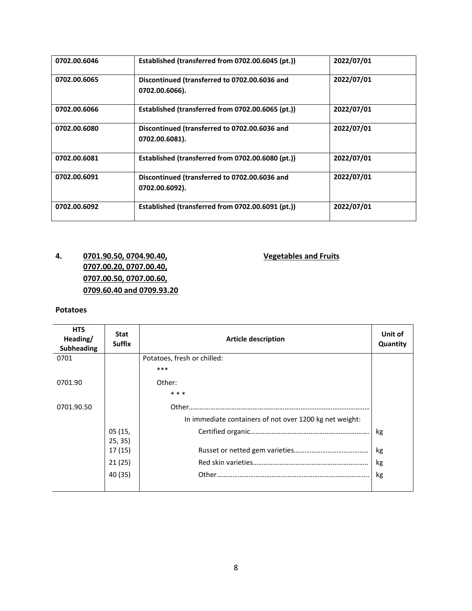| 0702.00.6046 | Established (transferred from 0702.00.6045 (pt.))               | 2022/07/01 |
|--------------|-----------------------------------------------------------------|------------|
| 0702.00.6065 | Discontinued (transferred to 0702.00.6036 and<br>0702.00.6066). | 2022/07/01 |
| 0702.00.6066 | Established (transferred from 0702.00.6065 (pt.))               | 2022/07/01 |
| 0702.00.6080 | Discontinued (transferred to 0702.00.6036 and<br>0702.00.6081). | 2022/07/01 |
| 0702.00.6081 | Established (transferred from 0702.00.6080 (pt.))               | 2022/07/01 |
| 0702.00.6091 | Discontinued (transferred to 0702.00.6036 and<br>0702.00.6092). | 2022/07/01 |
| 0702.00.6092 | Established (transferred from 0702.00.6091 (pt.))               | 2022/07/01 |

# **4. 0701.90.50, 0704.90.40, Vegetables and Fruits 0707.00.20, 0707.00.40, 0707.00.50, 0707.00.60, 0709.60.40 and 0709.93.20**

#### **Potatoes**

| <b>HTS</b><br>Heading/<br><b>Subheading</b> | <b>Stat</b><br><b>Suffix</b> | <b>Article description</b>                              | Unit of<br>Quantity |
|---------------------------------------------|------------------------------|---------------------------------------------------------|---------------------|
| 0701                                        |                              | Potatoes, fresh or chilled:                             |                     |
|                                             |                              | ***                                                     |                     |
| 0701.90                                     |                              | Other:                                                  |                     |
|                                             |                              | * * *                                                   |                     |
| 0701.90.50                                  |                              |                                                         |                     |
|                                             |                              | In immediate containers of not over 1200 kg net weight: |                     |
|                                             | 05(15,                       |                                                         | kg                  |
|                                             | 25, 35)                      |                                                         |                     |
|                                             | 17 (15)                      |                                                         | kg                  |
|                                             | 21(25)                       |                                                         | kg                  |
|                                             | 40 (35)                      |                                                         | kg                  |
|                                             |                              |                                                         |                     |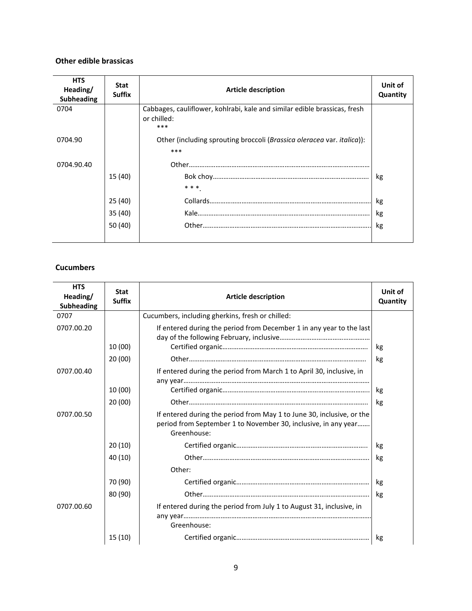#### **Other edible brassicas**

| <b>HTS</b><br>Heading/<br>Subheading | <b>Stat</b><br><b>Suffix</b> | <b>Article description</b>                                                                      | Unit of<br>Quantity |
|--------------------------------------|------------------------------|-------------------------------------------------------------------------------------------------|---------------------|
| 0704                                 |                              | Cabbages, cauliflower, kohlrabi, kale and similar edible brassicas, fresh<br>or chilled:<br>*** |                     |
| 0704.90                              |                              | Other (including sprouting broccoli (Brassica oleracea var. italica)):<br>***                   |                     |
| 0704.90.40                           |                              |                                                                                                 |                     |
|                                      | 15 (40)                      | * * *                                                                                           | kg                  |
|                                      | 25(40)                       |                                                                                                 | kg                  |
|                                      | 35 (40)                      |                                                                                                 | kg                  |
|                                      | 50 (40)                      |                                                                                                 | kg                  |

#### **Cucumbers**

| <b>HTS</b><br>Heading/<br><b>Subheading</b> | <b>Stat</b><br><b>Suffix</b> | <b>Article description</b>                                                                                                                             | Unit of<br>Quantity |
|---------------------------------------------|------------------------------|--------------------------------------------------------------------------------------------------------------------------------------------------------|---------------------|
| 0707                                        |                              | Cucumbers, including gherkins, fresh or chilled:                                                                                                       |                     |
| 0707.00.20                                  |                              | If entered during the period from December 1 in any year to the last                                                                                   |                     |
|                                             | 10 (00)                      |                                                                                                                                                        | kg                  |
|                                             | 20(00)                       |                                                                                                                                                        | kg                  |
| 0707.00.40                                  |                              | If entered during the period from March 1 to April 30, inclusive, in                                                                                   |                     |
|                                             |                              |                                                                                                                                                        |                     |
|                                             | 10 (00)                      |                                                                                                                                                        | kg                  |
|                                             | 20(00)                       |                                                                                                                                                        | kg                  |
| 0707.00.50                                  |                              | If entered during the period from May 1 to June 30, inclusive, or the<br>period from September 1 to November 30, inclusive, in any year<br>Greenhouse: |                     |
|                                             | 20(10)                       |                                                                                                                                                        | kg                  |
|                                             | 40 (10)                      |                                                                                                                                                        | kg                  |
|                                             |                              | Other:                                                                                                                                                 |                     |
|                                             | 70 (90)                      |                                                                                                                                                        | kg                  |
|                                             | 80 (90)                      |                                                                                                                                                        | kg                  |
| 0707.00.60                                  |                              | If entered during the period from July 1 to August 31, inclusive, in                                                                                   |                     |
|                                             |                              | Greenhouse:                                                                                                                                            |                     |
|                                             | 15 (10)                      |                                                                                                                                                        | kg                  |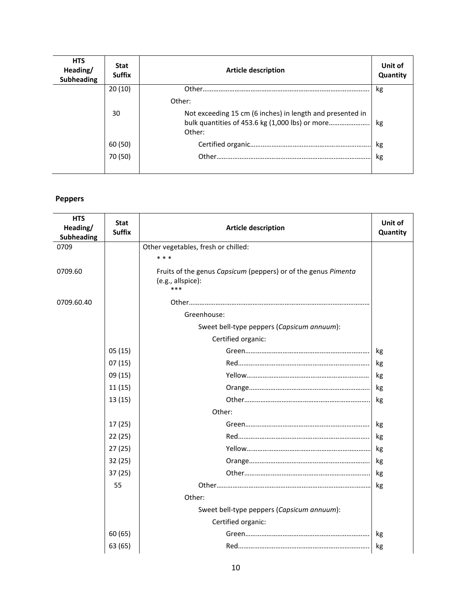| <b>HTS</b><br>Heading/<br><b>Subheading</b> | <b>Stat</b><br><b>Suffix</b> | Article description                                                                                                    | Unit of<br>Quantity |
|---------------------------------------------|------------------------------|------------------------------------------------------------------------------------------------------------------------|---------------------|
|                                             | 20(10)                       |                                                                                                                        | kg                  |
|                                             |                              | Other:                                                                                                                 |                     |
|                                             | 30                           | Not exceeding 15 cm (6 inches) in length and presented in<br>bulk quantities of 453.6 kg (1,000 lbs) or more<br>Other: | kg                  |
|                                             | 60 (50)                      |                                                                                                                        | kg                  |
|                                             | 70 (50)                      |                                                                                                                        | kg                  |

# **Peppers**

| <b>HTS</b><br>Heading/<br><b>Subheading</b> | Stat<br><b>Suffix</b> | <b>Article description</b>                                                                 | Unit of<br>Quantity |
|---------------------------------------------|-----------------------|--------------------------------------------------------------------------------------------|---------------------|
| 0709                                        |                       | Other vegetables, fresh or chilled:                                                        |                     |
|                                             |                       | * * *                                                                                      |                     |
| 0709.60                                     |                       | Fruits of the genus Capsicum (peppers) or of the genus Pimenta<br>(e.g., allspice):<br>*** |                     |
| 0709.60.40                                  |                       |                                                                                            |                     |
|                                             |                       | Greenhouse:                                                                                |                     |
|                                             |                       | Sweet bell-type peppers (Capsicum annuum):                                                 |                     |
|                                             |                       | Certified organic:                                                                         |                     |
|                                             | 05(15)                |                                                                                            | kg                  |
|                                             | 07(15)                |                                                                                            | kg                  |
|                                             | 09 (15)               |                                                                                            | kg                  |
|                                             | 11(15)                |                                                                                            | kg                  |
|                                             | 13(15)                |                                                                                            | kg                  |
|                                             |                       | Other:                                                                                     |                     |
|                                             | 17 (25)               |                                                                                            | kg                  |
|                                             | 22(25)                |                                                                                            | kg                  |
|                                             | 27(25)                |                                                                                            | kg                  |
|                                             | 32(25)                |                                                                                            | kg                  |
|                                             | 37(25)                |                                                                                            | kg                  |
|                                             | 55                    |                                                                                            | kg                  |
|                                             |                       | Other:                                                                                     |                     |
|                                             |                       | Sweet bell-type peppers (Capsicum annuum):                                                 |                     |
|                                             |                       | Certified organic:                                                                         |                     |
|                                             | 60(65)                |                                                                                            | kg                  |
|                                             | 63 (65)               |                                                                                            | kg                  |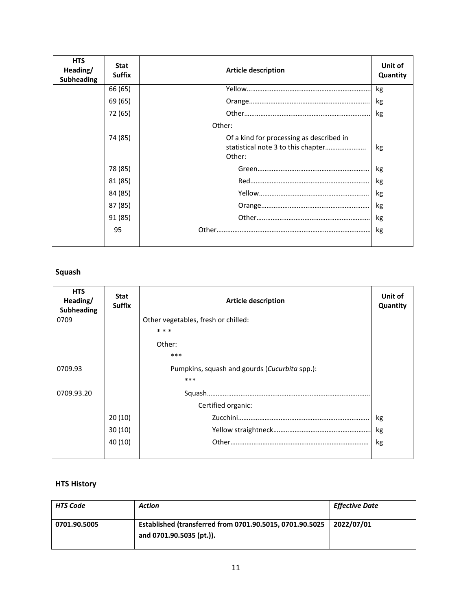| <b>HTS</b><br>Heading/<br><b>Subheading</b> | <b>Stat</b><br><b>Suffix</b> | <b>Article description</b>                         | Unit of<br>Quantity |
|---------------------------------------------|------------------------------|----------------------------------------------------|---------------------|
|                                             | 66 (65)                      |                                                    | kg                  |
|                                             | 69 (65)                      |                                                    | kg                  |
|                                             | 72 (65)                      |                                                    | kg                  |
|                                             |                              | Other:                                             |                     |
|                                             | 74 (85)                      | Of a kind for processing as described in<br>Other: | kg                  |
|                                             | 78 (85)                      |                                                    | kg                  |
|                                             | 81 (85)                      |                                                    | kg                  |
|                                             | 84 (85)                      |                                                    | kg                  |
|                                             | 87 (85)                      |                                                    | kg                  |
|                                             | 91 (85)                      |                                                    | kg                  |
|                                             | 95                           |                                                    | kg                  |

# **Squash**

| <b>HTS</b><br>Heading/<br><b>Subheading</b> | <b>Stat</b><br><b>Suffix</b> | <b>Article description</b>                    | Unit of<br>Quantity |
|---------------------------------------------|------------------------------|-----------------------------------------------|---------------------|
| 0709                                        |                              | Other vegetables, fresh or chilled:           |                     |
|                                             |                              | * * *                                         |                     |
|                                             |                              | Other:                                        |                     |
|                                             |                              | $***$                                         |                     |
| 0709.93                                     |                              | Pumpkins, squash and gourds (Cucurbita spp.): |                     |
|                                             |                              | $***$                                         |                     |
| 0709.93.20                                  |                              |                                               |                     |
|                                             |                              | Certified organic:                            |                     |
|                                             | 20(10)                       |                                               | kg                  |
|                                             | 30(10)                       |                                               | kg                  |
|                                             | 40 (10)                      |                                               | kg                  |
|                                             |                              |                                               |                     |

| <b>HTS Code</b> | Action                                                                               | <b>Effective Date</b> |
|-----------------|--------------------------------------------------------------------------------------|-----------------------|
| 0701.90.5005    | Established (transferred from 0701.90.5015, 0701.90.5025<br>and 0701.90.5035 (pt.)). | 2022/07/01            |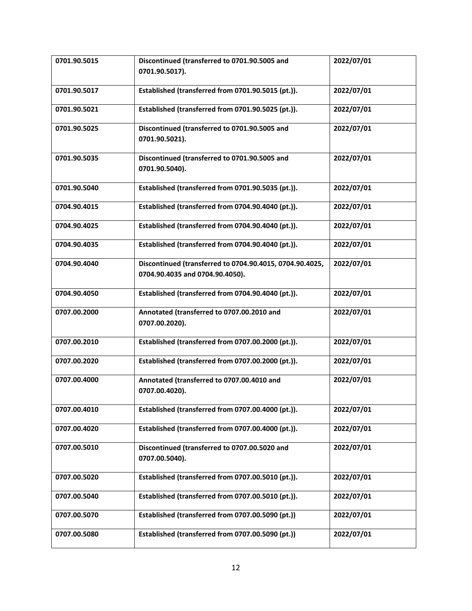| 0701.90.5015 | Discontinued (transferred to 0701.90.5005 and<br>0701.90.5017).                             | 2022/07/01 |
|--------------|---------------------------------------------------------------------------------------------|------------|
| 0701.90.5017 | Established (transferred from 0701.90.5015 (pt.)).                                          | 2022/07/01 |
| 0701.90.5021 | Established (transferred from 0701.90.5025 (pt.)).                                          | 2022/07/01 |
| 0701.90.5025 | Discontinued (transferred to 0701.90.5005 and<br>0701.90.5021).                             | 2022/07/01 |
| 0701.90.5035 | Discontinued (transferred to 0701.90.5005 and<br>0701.90.5040).                             | 2022/07/01 |
| 0701.90.5040 | Established (transferred from 0701.90.5035 (pt.)).                                          | 2022/07/01 |
| 0704.90.4015 | Established (transferred from 0704.90.4040 (pt.)).                                          | 2022/07/01 |
| 0704.90.4025 | Established (transferred from 0704.90.4040 (pt.)).                                          | 2022/07/01 |
| 0704.90.4035 | Established (transferred from 0704.90.4040 (pt.)).                                          | 2022/07/01 |
| 0704.90.4040 | Discontinued (transferred to 0704.90.4015, 0704.90.4025,<br>0704.90.4035 and 0704.90.4050). | 2022/07/01 |
| 0704.90.4050 | Established (transferred from 0704.90.4040 (pt.)).                                          | 2022/07/01 |
| 0707.00.2000 | Annotated (transferred to 0707.00.2010 and<br>0707.00.2020).                                | 2022/07/01 |
| 0707.00.2010 | Established (transferred from 0707.00.2000 (pt.)).                                          | 2022/07/01 |
| 0707.00.2020 | Established (transferred from 0707.00.2000 (pt.)).                                          | 2022/07/01 |
| 0707.00.4000 | Annotated (transferred to 0707.00.4010 and<br>0707.00.4020).                                | 2022/07/01 |
| 0707.00.4010 | Established (transferred from 0707.00.4000 (pt.)).                                          | 2022/07/01 |
| 0707.00.4020 | Established (transferred from 0707.00.4000 (pt.)).                                          | 2022/07/01 |
| 0707.00.5010 | Discontinued (transferred to 0707.00.5020 and<br>0707.00.5040).                             | 2022/07/01 |
| 0707.00.5020 | Established (transferred from 0707.00.5010 (pt.)).                                          | 2022/07/01 |
| 0707.00.5040 | Established (transferred from 0707.00.5010 (pt.)).                                          | 2022/07/01 |
| 0707.00.5070 | Established (transferred from 0707.00.5090 (pt.))                                           | 2022/07/01 |
| 0707.00.5080 | Established (transferred from 0707.00.5090 (pt.))                                           | 2022/07/01 |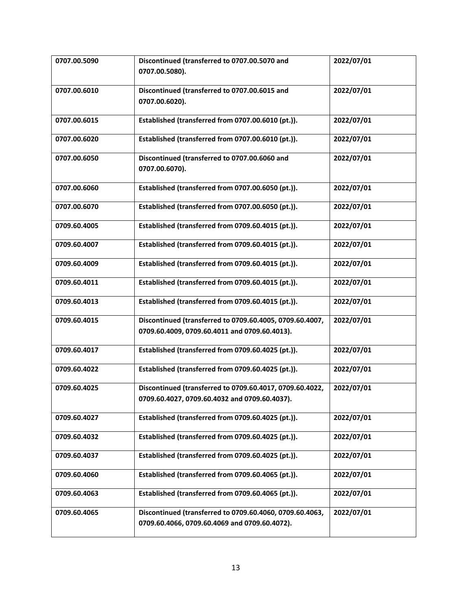| 0707.00.5090 | Discontinued (transferred to 0707.00.5070 and<br>0707.00.5080).                                           | 2022/07/01 |
|--------------|-----------------------------------------------------------------------------------------------------------|------------|
| 0707.00.6010 | Discontinued (transferred to 0707.00.6015 and                                                             | 2022/07/01 |
|              | 0707.00.6020).                                                                                            |            |
| 0707.00.6015 | Established (transferred from 0707.00.6010 (pt.)).                                                        | 2022/07/01 |
| 0707.00.6020 | Established (transferred from 0707.00.6010 (pt.)).                                                        | 2022/07/01 |
| 0707.00.6050 | Discontinued (transferred to 0707.00.6060 and<br>0707.00.6070).                                           | 2022/07/01 |
| 0707.00.6060 | Established (transferred from 0707.00.6050 (pt.)).                                                        | 2022/07/01 |
| 0707.00.6070 | Established (transferred from 0707.00.6050 (pt.)).                                                        | 2022/07/01 |
| 0709.60.4005 | Established (transferred from 0709.60.4015 (pt.)).                                                        | 2022/07/01 |
| 0709.60.4007 | Established (transferred from 0709.60.4015 (pt.)).                                                        | 2022/07/01 |
| 0709.60.4009 | Established (transferred from 0709.60.4015 (pt.)).                                                        | 2022/07/01 |
| 0709.60.4011 | Established (transferred from 0709.60.4015 (pt.)).                                                        | 2022/07/01 |
| 0709.60.4013 | Established (transferred from 0709.60.4015 (pt.)).                                                        | 2022/07/01 |
| 0709.60.4015 | Discontinued (transferred to 0709.60.4005, 0709.60.4007,<br>0709.60.4009, 0709.60.4011 and 0709.60.4013). | 2022/07/01 |
| 0709.60.4017 | Established (transferred from 0709.60.4025 (pt.)).                                                        | 2022/07/01 |
| 0709.60.4022 | Established (transferred from 0709.60.4025 (pt.)).                                                        | 2022/07/01 |
| 0709.60.4025 | Discontinued (transferred to 0709.60.4017, 0709.60.4022,<br>0709.60.4027, 0709.60.4032 and 0709.60.4037). | 2022/07/01 |
| 0709.60.4027 | Established (transferred from 0709.60.4025 (pt.)).                                                        | 2022/07/01 |
| 0709.60.4032 | Established (transferred from 0709.60.4025 (pt.)).                                                        | 2022/07/01 |
| 0709.60.4037 | Established (transferred from 0709.60.4025 (pt.)).                                                        | 2022/07/01 |
| 0709.60.4060 | Established (transferred from 0709.60.4065 (pt.)).                                                        | 2022/07/01 |
| 0709.60.4063 | Established (transferred from 0709.60.4065 (pt.)).                                                        | 2022/07/01 |
| 0709.60.4065 | Discontinued (transferred to 0709.60.4060, 0709.60.4063,<br>0709.60.4066, 0709.60.4069 and 0709.60.4072). | 2022/07/01 |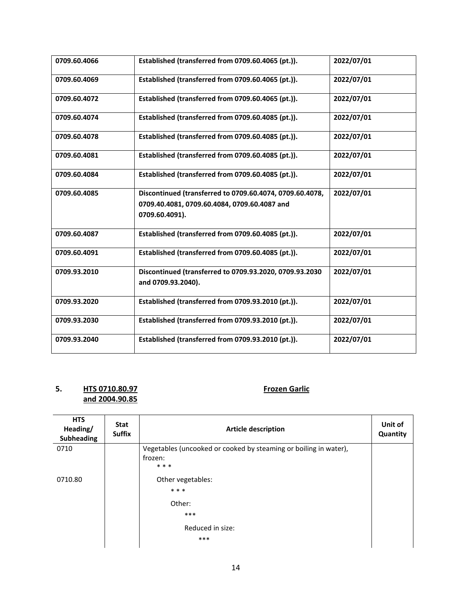| 0709.60.4066 | Established (transferred from 0709.60.4065 (pt.)).                                                                         | 2022/07/01 |
|--------------|----------------------------------------------------------------------------------------------------------------------------|------------|
| 0709.60.4069 | Established (transferred from 0709.60.4065 (pt.)).                                                                         | 2022/07/01 |
| 0709.60.4072 | Established (transferred from 0709.60.4065 (pt.)).                                                                         | 2022/07/01 |
| 0709.60.4074 | Established (transferred from 0709.60.4085 (pt.)).                                                                         | 2022/07/01 |
| 0709.60.4078 | Established (transferred from 0709.60.4085 (pt.)).                                                                         | 2022/07/01 |
| 0709.60.4081 | Established (transferred from 0709.60.4085 (pt.)).                                                                         | 2022/07/01 |
| 0709.60.4084 | Established (transferred from 0709.60.4085 (pt.)).                                                                         | 2022/07/01 |
| 0709.60.4085 | Discontinued (transferred to 0709.60.4074, 0709.60.4078,<br>0709.40.4081, 0709.60.4084, 0709.60.4087 and<br>0709.60.4091). | 2022/07/01 |
| 0709.60.4087 | Established (transferred from 0709.60.4085 (pt.)).                                                                         | 2022/07/01 |
| 0709.60.4091 | Established (transferred from 0709.60.4085 (pt.)).                                                                         | 2022/07/01 |
| 0709.93.2010 | Discontinued (transferred to 0709.93.2020, 0709.93.2030<br>and 0709.93.2040).                                              | 2022/07/01 |
| 0709.93.2020 | Established (transferred from 0709.93.2010 (pt.)).                                                                         | 2022/07/01 |
| 0709.93.2030 | Established (transferred from 0709.93.2010 (pt.)).                                                                         | 2022/07/01 |
| 0709.93.2040 | Established (transferred from 0709.93.2010 (pt.)).                                                                         | 2022/07/01 |

### **5. HTS 0710.80.97 Frozen Garlic and 2004.90.85**

| <b>HTS</b><br>Heading/<br><b>Subheading</b> | <b>Stat</b><br><b>Suffix</b> | <b>Article description</b>                                       | Unit of<br>Quantity |
|---------------------------------------------|------------------------------|------------------------------------------------------------------|---------------------|
| 0710                                        |                              | Vegetables (uncooked or cooked by steaming or boiling in water), |                     |
|                                             |                              | frozen:                                                          |                     |
|                                             |                              | * * *                                                            |                     |
| 0710.80                                     |                              | Other vegetables:                                                |                     |
|                                             |                              | * * *                                                            |                     |
|                                             |                              | Other:                                                           |                     |
|                                             |                              | $***$                                                            |                     |
|                                             |                              | Reduced in size:                                                 |                     |
|                                             |                              | ***                                                              |                     |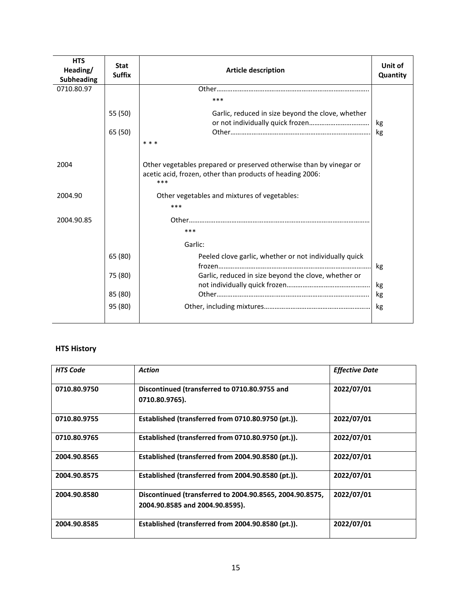| <b>HTS</b><br>Heading/<br><b>Subheading</b> | <b>Stat</b><br><b>Suffix</b> | <b>Article description</b>                                                                                                              | Unit of<br>Quantity |
|---------------------------------------------|------------------------------|-----------------------------------------------------------------------------------------------------------------------------------------|---------------------|
| 0710.80.97                                  |                              |                                                                                                                                         |                     |
|                                             |                              | ***                                                                                                                                     |                     |
|                                             | 55 (50)                      | Garlic, reduced in size beyond the clove, whether                                                                                       | kg                  |
|                                             | 65 (50)                      |                                                                                                                                         | kg                  |
|                                             |                              | * * *                                                                                                                                   |                     |
| 2004                                        |                              | Other vegetables prepared or preserved otherwise than by vinegar or<br>acetic acid, frozen, other than products of heading 2006:<br>*** |                     |
| 2004.90                                     |                              | Other vegetables and mixtures of vegetables:                                                                                            |                     |
|                                             |                              | ***                                                                                                                                     |                     |
| 2004.90.85                                  |                              | ***                                                                                                                                     |                     |
|                                             |                              | Garlic:                                                                                                                                 |                     |
|                                             | 65 (80)                      | Peeled clove garlic, whether or not individually quick                                                                                  | kg                  |
|                                             | 75 (80)                      | Garlic, reduced in size beyond the clove, whether or                                                                                    | kg                  |
|                                             | 85 (80)                      |                                                                                                                                         | kg                  |
|                                             | 95 (80)                      |                                                                                                                                         | kg                  |
|                                             |                              |                                                                                                                                         |                     |

| <b>HTS Code</b> | Action                                                                                      | <b>Effective Date</b> |
|-----------------|---------------------------------------------------------------------------------------------|-----------------------|
| 0710.80.9750    | Discontinued (transferred to 0710.80.9755 and<br>0710.80.9765).                             | 2022/07/01            |
| 0710.80.9755    | Established (transferred from 0710.80.9750 (pt.)).                                          | 2022/07/01            |
| 0710.80.9765    | Established (transferred from 0710.80.9750 (pt.)).                                          | 2022/07/01            |
| 2004.90.8565    | Established (transferred from 2004.90.8580 (pt.)).                                          | 2022/07/01            |
| 2004.90.8575    | Established (transferred from 2004.90.8580 (pt.)).                                          | 2022/07/01            |
| 2004.90.8580    | Discontinued (transferred to 2004.90.8565, 2004.90.8575,<br>2004.90.8585 and 2004.90.8595). | 2022/07/01            |
| 2004.90.8585    | Established (transferred from 2004.90.8580 (pt.)).                                          | 2022/07/01            |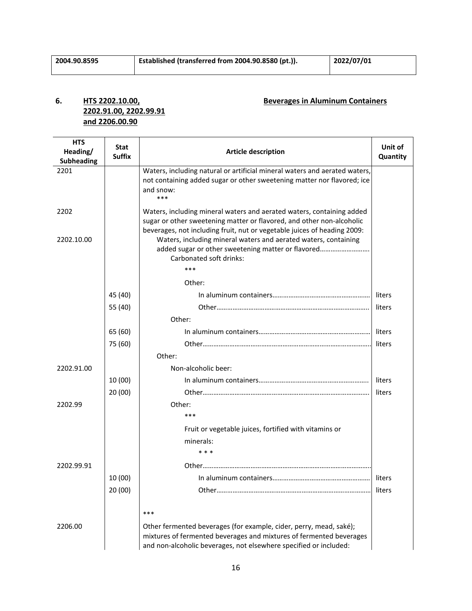# **2202.91.00, 2202.99.91 and 2206.00.90**

### **6. HTS 2202.10.00, Beverages in Aluminum Containers**

| <b>HTS</b>                | Stat          |                                                                                                                                                                                                                | Unit of  |
|---------------------------|---------------|----------------------------------------------------------------------------------------------------------------------------------------------------------------------------------------------------------------|----------|
| Heading/                  | <b>Suffix</b> | <b>Article description</b>                                                                                                                                                                                     | Quantity |
| <b>Subheading</b><br>2201 |               | Waters, including natural or artificial mineral waters and aerated waters,                                                                                                                                     |          |
|                           |               | not containing added sugar or other sweetening matter nor flavored; ice                                                                                                                                        |          |
|                           |               | and snow:                                                                                                                                                                                                      |          |
|                           |               | ***                                                                                                                                                                                                            |          |
| 2202                      |               | Waters, including mineral waters and aerated waters, containing added                                                                                                                                          |          |
|                           |               | sugar or other sweetening matter or flavored, and other non-alcoholic                                                                                                                                          |          |
|                           |               | beverages, not including fruit, nut or vegetable juices of heading 2009:                                                                                                                                       |          |
| 2202.10.00                |               | Waters, including mineral waters and aerated waters, containing<br>added sugar or other sweetening matter or flavored                                                                                          |          |
|                           |               | Carbonated soft drinks:                                                                                                                                                                                        |          |
|                           |               | ***                                                                                                                                                                                                            |          |
|                           |               | Other:                                                                                                                                                                                                         |          |
|                           | 45 (40)       |                                                                                                                                                                                                                | liters   |
|                           | 55 (40)       |                                                                                                                                                                                                                | liters   |
|                           |               | Other:                                                                                                                                                                                                         |          |
|                           | 65 (60)       |                                                                                                                                                                                                                | liters   |
|                           | 75 (60)       |                                                                                                                                                                                                                | liters   |
|                           |               | Other:                                                                                                                                                                                                         |          |
| 2202.91.00                |               | Non-alcoholic beer:                                                                                                                                                                                            |          |
|                           | 10 (00)       |                                                                                                                                                                                                                | liters   |
|                           | 20(00)        |                                                                                                                                                                                                                | liters   |
| 2202.99                   |               | Other:                                                                                                                                                                                                         |          |
|                           |               | ***                                                                                                                                                                                                            |          |
|                           |               | Fruit or vegetable juices, fortified with vitamins or                                                                                                                                                          |          |
|                           |               | minerals:                                                                                                                                                                                                      |          |
|                           |               | * * *                                                                                                                                                                                                          |          |
| 2202.99.91                |               |                                                                                                                                                                                                                |          |
|                           | 10 (00)       |                                                                                                                                                                                                                | liters   |
|                           | 20(00)        |                                                                                                                                                                                                                | liters   |
|                           |               |                                                                                                                                                                                                                |          |
|                           |               | $***$                                                                                                                                                                                                          |          |
| 2206.00                   |               | Other fermented beverages (for example, cider, perry, mead, saké);<br>mixtures of fermented beverages and mixtures of fermented beverages<br>and non-alcoholic beverages, not elsewhere specified or included: |          |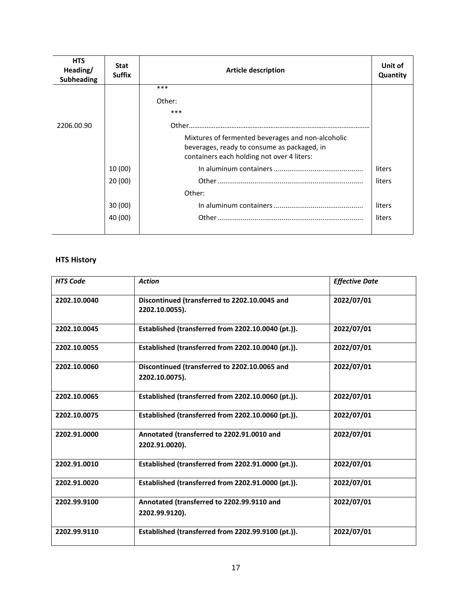| <b>HTS</b><br>Heading/<br>Subheading | <b>Stat</b><br><b>Suffix</b> | <b>Article description</b>                                                                                                                     | Unit of<br>Quantity |
|--------------------------------------|------------------------------|------------------------------------------------------------------------------------------------------------------------------------------------|---------------------|
|                                      |                              | ***                                                                                                                                            |                     |
|                                      |                              | Other:                                                                                                                                         |                     |
|                                      |                              | ***                                                                                                                                            |                     |
| 2206.00.90                           |                              |                                                                                                                                                |                     |
|                                      |                              | Mixtures of fermented beverages and non-alcoholic<br>beverages, ready to consume as packaged, in<br>containers each holding not over 4 liters: |                     |
|                                      | 10 (00)                      |                                                                                                                                                | liters              |
|                                      | 20(00)                       |                                                                                                                                                | liters              |
|                                      |                              | Other:                                                                                                                                         |                     |
|                                      | 30(00)                       |                                                                                                                                                | liters              |
|                                      | 40 (00)                      |                                                                                                                                                | liters              |
|                                      |                              |                                                                                                                                                |                     |

| <b>HTS Code</b> | <b>Action</b>                                                   | <b>Effective Date</b> |
|-----------------|-----------------------------------------------------------------|-----------------------|
| 2202.10.0040    | Discontinued (transferred to 2202.10.0045 and<br>2202.10.0055). | 2022/07/01            |
| 2202.10.0045    | Established (transferred from 2202.10.0040 (pt.)).              | 2022/07/01            |
| 2202.10.0055    | Established (transferred from 2202.10.0040 (pt.)).              | 2022/07/01            |
| 2202.10.0060    | Discontinued (transferred to 2202.10.0065 and<br>2202.10.0075). | 2022/07/01            |
| 2202.10.0065    | Established (transferred from 2202.10.0060 (pt.)).              | 2022/07/01            |
| 2202.10.0075    | Established (transferred from 2202.10.0060 (pt.)).              | 2022/07/01            |
| 2202.91.0000    | Annotated (transferred to 2202.91.0010 and<br>2202.91.0020).    | 2022/07/01            |
| 2202.91.0010    | Established (transferred from 2202.91.0000 (pt.)).              | 2022/07/01            |
| 2202.91.0020    | Established (transferred from 2202.91.0000 (pt.)).              | 2022/07/01            |
| 2202.99.9100    | Annotated (transferred to 2202.99.9110 and<br>2202.99.9120).    | 2022/07/01            |
| 2202.99.9110    | Established (transferred from 2202.99.9100 (pt.)).              | 2022/07/01            |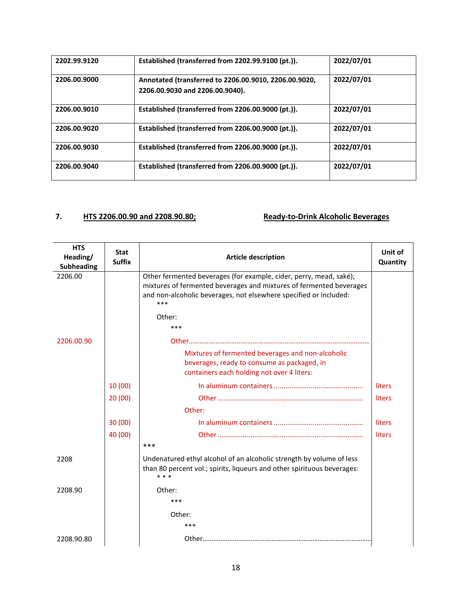| 2202.99.9120 | Established (transferred from 2202.99.9100 (pt.)).                                       | 2022/07/01 |
|--------------|------------------------------------------------------------------------------------------|------------|
| 2206.00.9000 | Annotated (transferred to 2206.00.9010, 2206.00.9020,<br>2206.00.9030 and 2206.00.9040). | 2022/07/01 |
| 2206.00.9010 | Established (transferred from 2206.00.9000 (pt.)).                                       | 2022/07/01 |
| 2206.00.9020 | Established (transferred from 2206.00.9000 (pt.)).                                       | 2022/07/01 |
| 2206.00.9030 | Established (transferred from 2206.00.9000 (pt.)).                                       | 2022/07/01 |
| 2206.00.9040 | Established (transferred from 2206.00.9000 (pt.)).                                       | 2022/07/01 |

### **7. HTS 2206.00.90 and 2208.90.80; Ready-to-Drink Alcoholic Beverages**

| <b>HTS</b><br>Heading/<br><b>Subheading</b> | <b>Stat</b><br><b>Suffix</b> | <b>Article description</b>                                                                                                                                                                                              | Unit of<br>Quantity |
|---------------------------------------------|------------------------------|-------------------------------------------------------------------------------------------------------------------------------------------------------------------------------------------------------------------------|---------------------|
| 2206.00                                     |                              | Other fermented beverages (for example, cider, perry, mead, saké);<br>mixtures of fermented beverages and mixtures of fermented beverages<br>and non-alcoholic beverages, not elsewhere specified or included:<br>$***$ |                     |
|                                             |                              | Other:                                                                                                                                                                                                                  |                     |
|                                             |                              | ***                                                                                                                                                                                                                     |                     |
| 2206.00.90                                  |                              |                                                                                                                                                                                                                         |                     |
|                                             |                              | Mixtures of fermented beverages and non-alcoholic<br>beverages, ready to consume as packaged, in<br>containers each holding not over 4 liters:                                                                          |                     |
|                                             | 10(00)                       |                                                                                                                                                                                                                         | liters              |
|                                             | 20(00)                       |                                                                                                                                                                                                                         | liters              |
|                                             |                              | Other:                                                                                                                                                                                                                  |                     |
|                                             | 30(00)                       |                                                                                                                                                                                                                         | liters              |
|                                             | 40 (00)                      |                                                                                                                                                                                                                         | liters              |
|                                             |                              | ***                                                                                                                                                                                                                     |                     |
| 2208                                        |                              | Undenatured ethyl alcohol of an alcoholic strength by volume of less<br>than 80 percent vol.; spirits, liqueurs and other spirituous beverages:<br>* * *                                                                |                     |
| 2208.90                                     |                              | Other:                                                                                                                                                                                                                  |                     |
|                                             |                              | ***                                                                                                                                                                                                                     |                     |
|                                             |                              | Other:                                                                                                                                                                                                                  |                     |
|                                             |                              | ***                                                                                                                                                                                                                     |                     |
| 2208.90.80                                  |                              |                                                                                                                                                                                                                         |                     |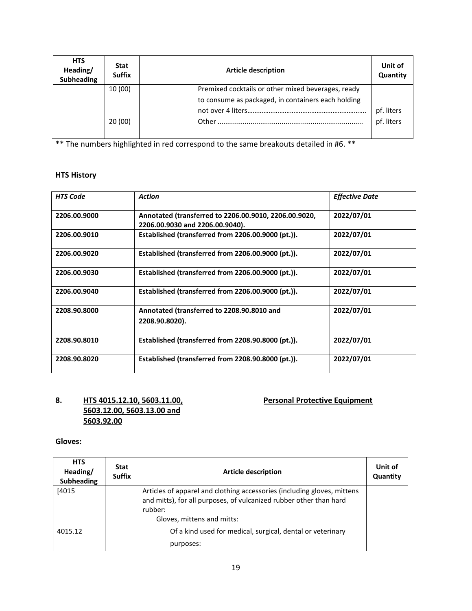| <b>HTS</b><br>Heading/<br>Subheading | <b>Stat</b><br><b>Suffix</b> | <b>Article description</b>                         | Unit of<br>Quantity      |
|--------------------------------------|------------------------------|----------------------------------------------------|--------------------------|
|                                      | 10 (00)                      | Premixed cocktails or other mixed beverages, ready |                          |
|                                      |                              | to consume as packaged, in containers each holding |                          |
|                                      |                              |                                                    | pf. liters<br>pf. liters |
|                                      | 20(00)                       |                                                    |                          |
|                                      |                              |                                                    |                          |

\*\* The numbers highlighted in red correspond to the same breakouts detailed in #6. \*\*

### **HTS History**

| <b>HTS Code</b> | <b>Action</b>                                                                            | <b>Effective Date</b> |
|-----------------|------------------------------------------------------------------------------------------|-----------------------|
| 2206.00.9000    | Annotated (transferred to 2206.00.9010, 2206.00.9020,<br>2206.00.9030 and 2206.00.9040). | 2022/07/01            |
| 2206.00.9010    | Established (transferred from 2206.00.9000 (pt.)).                                       | 2022/07/01            |
| 2206.00.9020    | Established (transferred from 2206.00.9000 (pt.)).                                       | 2022/07/01            |
| 2206.00.9030    | Established (transferred from 2206.00.9000 (pt.)).                                       | 2022/07/01            |
| 2206.00.9040    | Established (transferred from 2206.00.9000 (pt.)).                                       | 2022/07/01            |
| 2208.90.8000    | Annotated (transferred to 2208.90.8010 and<br>2208.90.8020).                             | 2022/07/01            |
| 2208.90.8010    | Established (transferred from 2208.90.8000 (pt.)).                                       | 2022/07/01            |
| 2208.90.8020    | Established (transferred from 2208.90.8000 (pt.)).                                       | 2022/07/01            |

#### **8. HTS 4015.12.10, 5603.11.00, Personal Protective Equipment 5603.12.00, 5603.13.00 and 5603.92.00**

#### **Gloves:**

| <b>HTS</b><br>Heading/<br><b>Subheading</b> | <b>Stat</b><br><b>Suffix</b> | <b>Article description</b>                                                                                                                                                             | Unit of<br>Quantity |
|---------------------------------------------|------------------------------|----------------------------------------------------------------------------------------------------------------------------------------------------------------------------------------|---------------------|
| [4015]                                      |                              | Articles of apparel and clothing accessories (including gloves, mittens<br>and mitts), for all purposes, of vulcanized rubber other than hard<br>rubber:<br>Gloves, mittens and mitts: |                     |
| 4015.12                                     |                              | Of a kind used for medical, surgical, dental or veterinary<br>purposes:                                                                                                                |                     |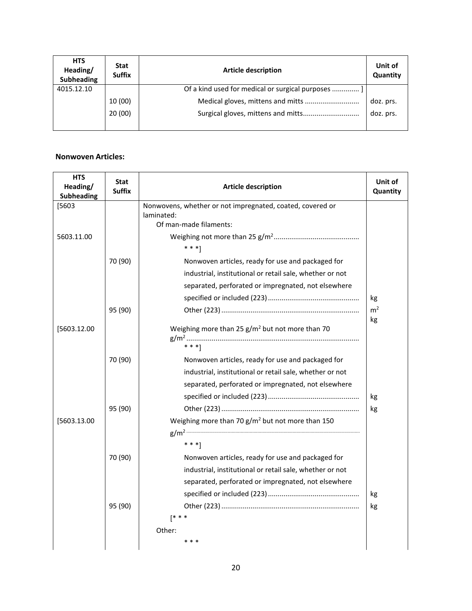| <b>HTS</b><br>Heading/<br><b>Subheading</b> | <b>Stat</b><br><b>Suffix</b> | <b>Article description</b>                        | Unit of<br>Quantity |
|---------------------------------------------|------------------------------|---------------------------------------------------|---------------------|
| 4015.12.10                                  |                              | Of a kind used for medical or surgical purposes ] |                     |
|                                             | 10 (00)                      |                                                   | doz. prs.           |
|                                             | 20(00)                       |                                                   | doz. prs.           |
|                                             |                              |                                                   |                     |

#### **Nonwoven Articles:**

| <b>HTS</b><br>Heading/<br>Subheading | <b>Stat</b><br><b>Suffix</b> | <b>Article description</b>                                   | Unit of<br>Quantity |
|--------------------------------------|------------------------------|--------------------------------------------------------------|---------------------|
| [5603                                |                              | Nonwovens, whether or not impregnated, coated, covered or    |                     |
|                                      |                              | laminated:<br>Of man-made filaments:                         |                     |
| 5603.11.00                           |                              |                                                              |                     |
|                                      |                              | $* * *$ ]                                                    |                     |
|                                      | 70 (90)                      | Nonwoven articles, ready for use and packaged for            |                     |
|                                      |                              | industrial, institutional or retail sale, whether or not     |                     |
|                                      |                              | separated, perforated or impregnated, not elsewhere          |                     |
|                                      |                              |                                                              | kg                  |
|                                      | 95 (90)                      |                                                              | m <sup>2</sup>      |
|                                      |                              |                                                              | kg                  |
| [5603.12.00                          |                              | Weighing more than 25 $g/m^2$ but not more than 70           |                     |
|                                      |                              | $***$ 1                                                      |                     |
|                                      | 70 (90)                      | Nonwoven articles, ready for use and packaged for            |                     |
|                                      |                              | industrial, institutional or retail sale, whether or not     |                     |
|                                      |                              | separated, perforated or impregnated, not elsewhere          |                     |
|                                      |                              |                                                              | kg                  |
|                                      | 95 (90)                      |                                                              | kg                  |
| [5603.13.00                          |                              | Weighing more than 70 g/m <sup>2</sup> but not more than 150 |                     |
|                                      |                              |                                                              |                     |
|                                      |                              | $***$ 1                                                      |                     |
|                                      | 70 (90)                      | Nonwoven articles, ready for use and packaged for            |                     |
|                                      |                              | industrial, institutional or retail sale, whether or not     |                     |
|                                      |                              | separated, perforated or impregnated, not elsewhere          |                     |
|                                      |                              |                                                              | kg                  |
|                                      | 95 (90)                      |                                                              | kg                  |
|                                      |                              | $[$ * * *                                                    |                     |
|                                      |                              | Other:                                                       |                     |
|                                      |                              |                                                              |                     |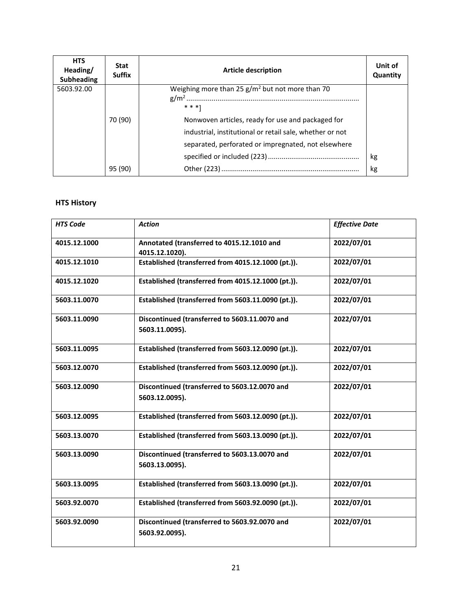| <b>HTS</b><br>Heading/<br><b>Subheading</b> | <b>Stat</b><br><b>Suffix</b> | <b>Article description</b>                                                                                                                                           | Unit of<br>Quantity |
|---------------------------------------------|------------------------------|----------------------------------------------------------------------------------------------------------------------------------------------------------------------|---------------------|
| 5603.92.00                                  |                              | Weighing more than 25 g/m <sup>2</sup> but not more than 70<br>$* * *1$                                                                                              |                     |
|                                             | 70 (90)                      | Nonwoven articles, ready for use and packaged for<br>industrial, institutional or retail sale, whether or not<br>separated, perforated or impregnated, not elsewhere |                     |
|                                             | 95 (90)                      |                                                                                                                                                                      | kg<br>kg            |

| <b>HTS Code</b> | <b>Action</b>                                                   | <b>Effective Date</b> |
|-----------------|-----------------------------------------------------------------|-----------------------|
| 4015.12.1000    | Annotated (transferred to 4015.12.1010 and                      | 2022/07/01            |
|                 | 4015.12.1020).                                                  |                       |
| 4015.12.1010    | Established (transferred from 4015.12.1000 (pt.)).              | 2022/07/01            |
| 4015.12.1020    | Established (transferred from 4015.12.1000 (pt.)).              | 2022/07/01            |
| 5603.11.0070    | Established (transferred from 5603.11.0090 (pt.)).              | 2022/07/01            |
| 5603.11.0090    | Discontinued (transferred to 5603.11.0070 and<br>5603.11.0095). | 2022/07/01            |
| 5603.11.0095    | Established (transferred from 5603.12.0090 (pt.)).              | 2022/07/01            |
| 5603.12.0070    | Established (transferred from 5603.12.0090 (pt.)).              | 2022/07/01            |
| 5603.12.0090    | Discontinued (transferred to 5603.12.0070 and<br>5603.12.0095). | 2022/07/01            |
| 5603.12.0095    | Established (transferred from 5603.12.0090 (pt.)).              | 2022/07/01            |
| 5603.13.0070    | Established (transferred from 5603.13.0090 (pt.)).              | 2022/07/01            |
| 5603.13.0090    | Discontinued (transferred to 5603.13.0070 and<br>5603.13.0095). | 2022/07/01            |
| 5603.13.0095    | Established (transferred from 5603.13.0090 (pt.)).              | 2022/07/01            |
| 5603.92.0070    | Established (transferred from 5603.92.0090 (pt.)).              | 2022/07/01            |
| 5603.92.0090    | Discontinued (transferred to 5603.92.0070 and<br>5603.92.0095). | 2022/07/01            |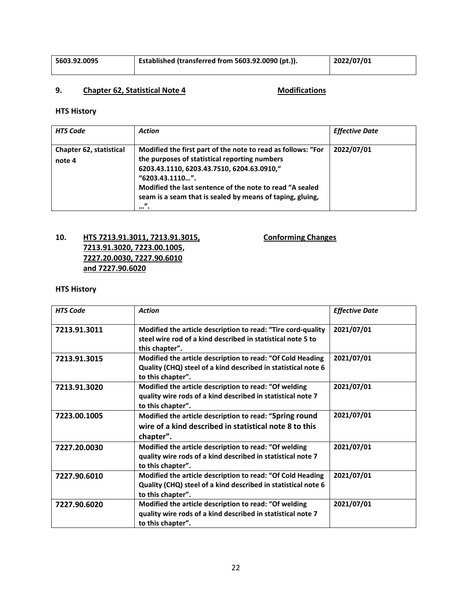| 5603.92.0095 | Established (transferred from 5603.92.0090 (pt.)). | 2022/07/01 |
|--------------|----------------------------------------------------|------------|
|--------------|----------------------------------------------------|------------|

### **9. Chapter 62, Statistical Note 4 Modifications**

#### **HTS History**

| <b>HTS Code</b>                   | Action                                                                                                                                                                                                                                                                                                                                     | <b>Effective Date</b> |
|-----------------------------------|--------------------------------------------------------------------------------------------------------------------------------------------------------------------------------------------------------------------------------------------------------------------------------------------------------------------------------------------|-----------------------|
| Chapter 62, statistical<br>note 4 | Modified the first part of the note to read as follows: "For<br>the purposes of statistical reporting numbers<br>6203.43.1110, 6203.43.7510, 6204.63.0910,"<br>"6203.43.1110".<br>Modified the last sentence of the note to read "A sealed<br>seam is a seam that is sealed by means of taping, gluing,<br>$\boldsymbol{\eta}$<br>$\cdots$ | 2022/07/01            |

### **10. HTS 7213.91.3011, 7213.91.3015, Conforming Changes 7213.91.3020, 7223.00.1005, 7227.20.0030, 7227.90.6010 and 7227.90.6020**

| <b>HTS Code</b> | <b>Action</b>                                                                                                                                    | <b>Effective Date</b> |
|-----------------|--------------------------------------------------------------------------------------------------------------------------------------------------|-----------------------|
| 7213.91.3011    | Modified the article description to read: "Tire cord-quality<br>steel wire rod of a kind described in statistical note 5 to<br>this chapter".    | 2021/07/01            |
| 7213.91.3015    | Modified the article description to read: "Of Cold Heading<br>Quality (CHQ) steel of a kind described in statistical note 6<br>to this chapter". | 2021/07/01            |
| 7213.91.3020    | Modified the article description to read: "Of welding<br>quality wire rods of a kind described in statistical note 7<br>to this chapter".        | 2021/07/01            |
| 7223.00.1005    | Modified the article description to read: "Spring round<br>wire of a kind described in statistical note 8 to this<br>chapter".                   | 2021/07/01            |
| 7227.20.0030    | Modified the article description to read: "Of welding<br>quality wire rods of a kind described in statistical note 7<br>to this chapter".        | 2021/07/01            |
| 7227.90.6010    | Modified the article description to read: "Of Cold Heading<br>Quality (CHQ) steel of a kind described in statistical note 6<br>to this chapter". | 2021/07/01            |
| 7227.90.6020    | Modified the article description to read: "Of welding<br>quality wire rods of a kind described in statistical note 7<br>to this chapter".        | 2021/07/01            |